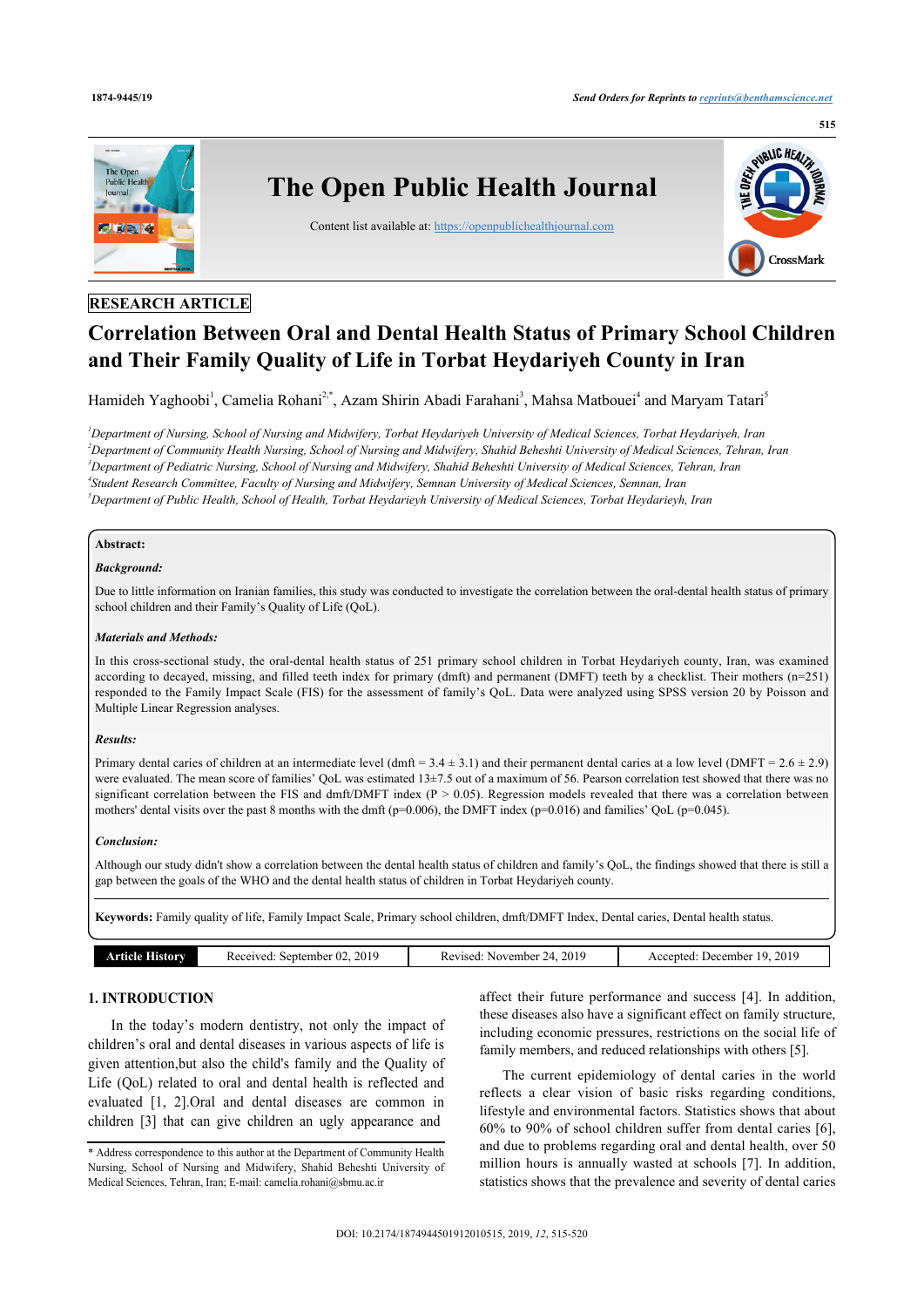

### **RESEARCH ARTICLE**

# **Correlation Between Oral and Dental Health Status of Primary School Children and Their Family Quality of Life in Torbat Heydariyeh County in Iran**

Hamideh Yaghoobi<sup>[1](#page-0-0)</sup>, Camelia Rohani<sup>[2,](#page-0-1)[\\*](#page-0-2)</sup>, Azam Shirin Abadi Farahani<sup>[3](#page-0-3)</sup>, Mahsa Matbouei<sup>[4](#page-0-4)</sup> and Maryam Tatari<sup>[5](#page-0-5)</sup>

<span id="page-0-4"></span><span id="page-0-3"></span><span id="page-0-1"></span><span id="page-0-0"></span>*Department of Nursing, School of Nursing and Midwifery, Torbat Heydariyeh University of Medical Sciences, Torbat Heydariyeh, Iran Department of Community Health Nursing, School of Nursing and Midwifery, Shahid Beheshti University of Medical Sciences, Tehran, Iran Department of Pediatric Nursing, School of Nursing and Midwifery, Shahid Beheshti University of Medical Sciences, Tehran, Iran Student Research Committee, Faculty of Nursing and Midwifery, Semnan University of Medical Sciences, Semnan, Iran Department of Public Health, School of Health, Torbat Heydarieyh University of Medical Sciences, Torbat Heydarieyh, Iran*

### <span id="page-0-5"></span>**Abstract:**

### *Background:*

Due to little information on Iranian families, this study was conducted to investigate the correlation between the oral-dental health status of primary school children and their Family's Quality of Life (QoL).

### *Materials and Methods:*

In this cross-sectional study, the oral-dental health status of 251 primary school children in Torbat Heydariyeh county, Iran, was examined according to decayed, missing, and filled teeth index for primary (dmft) and permanent (DMFT) teeth by a checklist. Their mothers (n=251) responded to the Family Impact Scale (FIS) for the assessment of family's QoL. Data were analyzed using SPSS version 20 by Poisson and Multiple Linear Regression analyses.

### *Results:*

Primary dental caries of children at an intermediate level (dmft =  $3.4 \pm 3.1$ ) and their permanent dental caries at a low level (DMFT =  $2.6 \pm 2.9$ ) were evaluated. The mean score of families' QoL was estimated 13±7.5 out of a maximum of 56. Pearson correlation test showed that there was no significant correlation between the FIS and dmft/DMFT index  $(P > 0.05)$ . Regression models revealed that there was a correlation between mothers' dental visits over the past 8 months with the dmft (p=0.006), the DMFT index (p=0.016) and families' QoL (p=0.045).

### *Conclusion:*

Although our study didn't show a correlation between the dental health status of children and family's QoL, the findings showed that there is still a gap between the goals of the WHO and the dental health status of children in Torbat Heydariyeh county.

**Keywords:** Family quality of life, Family Impact Scale, Primary school children, dmft/DMFT Index, Dental caries, Dental health status.

| Article History | 2019<br>Received:<br>September 02. | 201 <sup>o</sup><br>Revised: November 24. | 2019<br>Accepted:<br>. December<br>- 192 |
|-----------------|------------------------------------|-------------------------------------------|------------------------------------------|
|                 |                                    |                                           |                                          |

### **1. INTRODUCTION**

In the today's modern dentistry, not only the impact of children's oral and dental diseases in various aspects of life is given attention,but also the child's family and the Quality of Life (QoL) related to oral and dental health is reflected and evaluated [\[1,](#page-4-0) [2\]](#page-4-1).Oral and dental diseases are common in children [\[3\]](#page-4-2) that can give children an ugly appearance and

affect their future performance and success [\[4\]](#page-4-3). In addition, these diseases also have a significant effect on family structure, including economic pressures, restrictions on the social life of family members, and reduced relationships with others [[5](#page-5-0)].

The current epidemiology of dental caries in the world reflects a clear vision of basic risks regarding conditions, lifestyle and environmental factors. Statistics shows that about 60% to 90% of school children suffer from dental caries [[6](#page-5-1)], and due to problems regarding oral and dental health, over 50 million hours is annually wasted at schools [\[7\]](#page-5-2). In addition, statistics shows that the prevalence and severity of dental caries

<span id="page-0-2"></span><sup>\*</sup> Address correspondence to this author at the Department of Community Health Nursing, School of Nursing and Midwifery, Shahid Beheshti University of Medical Sciences, Tehran, Iran; E-mail: [camelia.rohani@sbmu.ac.ir](mailto:camelia.rohani@sbmu.ac.ir)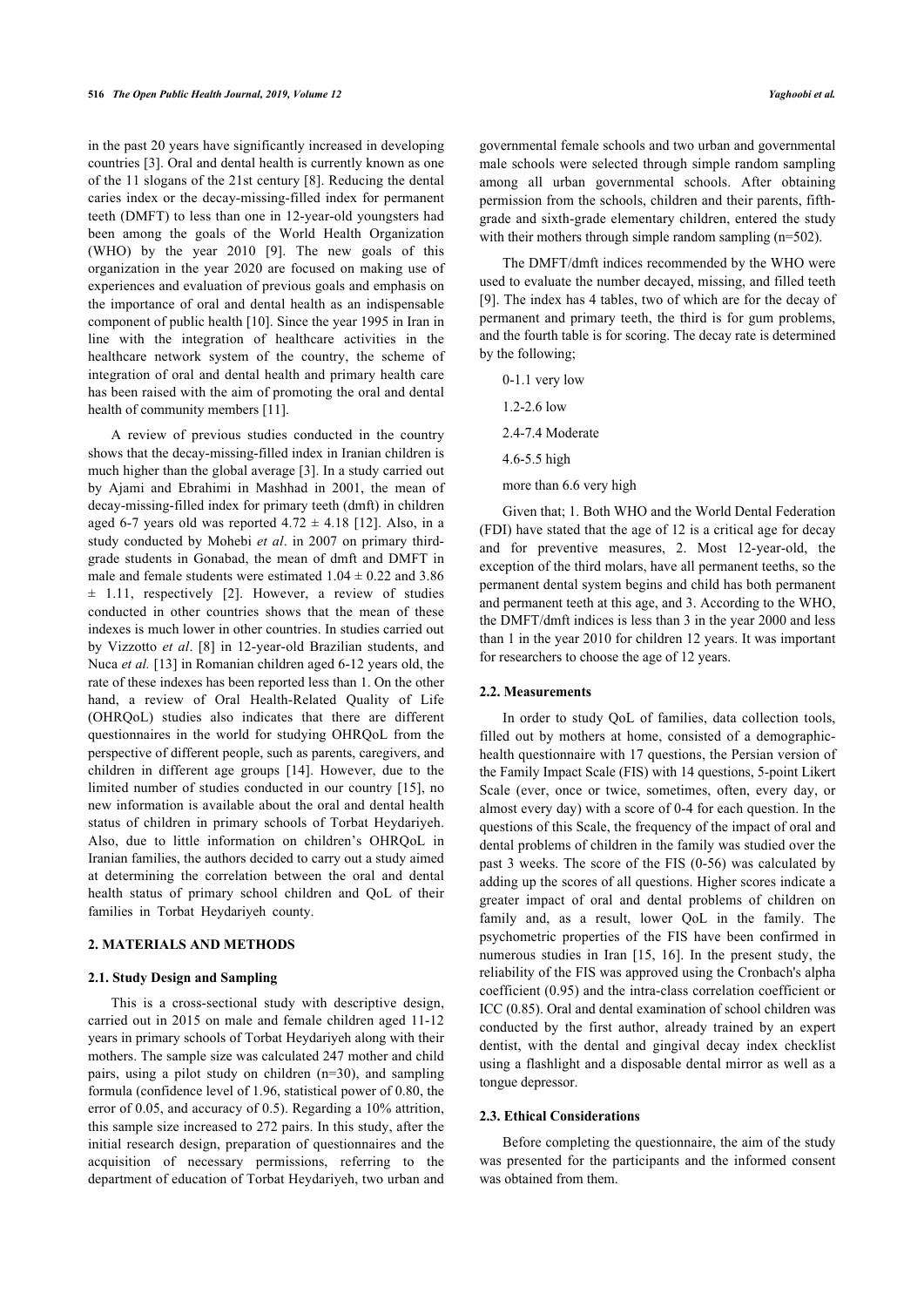in the past 20 years have significantly increased in developing countries [[3](#page-4-2)]. Oral and dental health is currently known as one of the 11 slogans of the 21st century [[8\]](#page-5-3). Reducing the dental caries index or the decay-missing-filled index for permanent teeth (DMFT) to less than one in 12-year-old youngsters had been among the goals of the World Health Organization (WHO) by the year 2010 [\[9\]](#page-5-4). The new goals of this organization in the year 2020 are focused on making use of experiences and evaluation of previous goals and emphasis on the importance of oral and dental health as an indispensable component of public health [[10\]](#page-5-5). Since the year 1995 in Iran in line with the integration of healthcare activities in the healthcare network system of the country, the scheme of integration of oral and dental health and primary health care has been raised with the aim of promoting the oral and dental health of community members [\[11](#page-5-6)].

A review of previous studies conducted in the country shows that the decay-missing-filled index in Iranian children is much higher than the global average [[3](#page-4-2)]. In a study carried out by Ajami and Ebrahimi in Mashhad in 2001, the mean of decay-missing-filled index for primary teeth (dmft) in children aged 6-7 years old was reported  $4.72 \pm 4.18$  [\[12\]](#page-5-7). Also, in a study conducted by Mohebi *et al*. in 2007 on primary thirdgrade students in Gonabad, the mean of dmft and DMFT in male and female students were estimated  $1.04 \pm 0.22$  and 3.86  $\pm$ 1.11, respectively [[2](#page-4-1)]. However, a review of studies conducted in other countries shows that the mean of these indexes is much lower in other countries. In studies carried out by Vizzotto *et al*.[[8\]](#page-5-3) in 12-year-old Brazilian students, and Nuca *et al.* [\[13](#page-5-8)] in Romanian children aged 6-12 years old, the rate of these indexes has been reported less than 1. On the other hand, a review of Oral Health-Related Quality of Life (OHRQoL) studies also indicates that there are different questionnaires in the world for studying OHRQoL from the perspective of different people, such as parents, caregivers, and children in different age groups[[14\]](#page-5-9). However, due to the limited number of studies conducted in our country [\[15](#page-5-10)], no new information is available about the oral and dental health status of children in primary schools of Torbat Heydariyeh. Also, due to little information on children's OHRQoL in Iranian families, the authors decided to carry out a study aimed at determining the correlation between the oral and dental health status of primary school children and QoL of their families in Torbat Heydariyeh county.

### **2. MATERIALS AND METHODS**

#### **2.1. Study Design and Sampling**

This is a cross-sectional study with descriptive design, carried out in 2015 on male and female children aged 11-12 years in primary schools of Torbat Heydariyeh along with their mothers. The sample size was calculated 247 mother and child pairs, using a pilot study on children (n=30), and sampling formula (confidence level of 1.96, statistical power of 0.80, the error of 0.05, and accuracy of 0.5). Regarding a 10% attrition, this sample size increased to 272 pairs. In this study, after the initial research design, preparation of questionnaires and the acquisition of necessary permissions, referring to the department of education of Torbat Heydariyeh, two urban and

governmental female schools and two urban and governmental male schools were selected through simple random sampling among all urban governmental schools. After obtaining permission from the schools, children and their parents, fifthgrade and sixth-grade elementary children, entered the study with their mothers through simple random sampling (n=502).

The DMFT/dmft indices recommended by the WHO were used to evaluate the number decayed, missing, and filled teeth [[9\]](#page-5-4). The index has 4 tables, two of which are for the decay of permanent and primary teeth, the third is for gum problems, and the fourth table is for scoring. The decay rate is determined by the following;

- 0-1.1 very low 1.2-2.6 low 2.4-7.4 Moderate 4.6-5.5 high
- more than 6.6 very high

Given that; 1. Both WHO and the World Dental Federation (FDI) have stated that the age of 12 is a critical age for decay and for preventive measures, 2. Most 12-year-old, the exception of the third molars, have all permanent teeths, so the permanent dental system begins and child has both permanent and permanent teeth at this age, and 3. According to the WHO, the DMFT/dmft indices is less than 3 in the year 2000 and less than 1 in the year 2010 for children 12 years. It was important for researchers to choose the age of 12 years.

#### **2.2. Measurements**

In order to study QoL of families, data collection tools, filled out by mothers at home, consisted of a demographichealth questionnaire with 17 questions, the Persian version of the Family Impact Scale (FIS) with 14 questions, 5-point Likert Scale (ever, once or twice, sometimes, often, every day, or almost every day) with a score of 0-4 for each question. In the questions of this Scale, the frequency of the impact of oral and dental problems of children in the family was studied over the past 3 weeks. The score of the FIS (0-56) was calculated by adding up the scores of all questions. Higher scores indicate a greater impact of oral and dental problems of children on family and, as a result, lower QoL in the family. The psychometric properties of the FIS have been confirmed in numerous studies in Iran[[15](#page-5-10), [16](#page-5-11)]. In the present study, the reliability of the FIS was approved using the Cronbach's alpha coefficient (0.95) and the intra-class correlation coefficient or ICC (0.85). Oral and dental examination of school children was conducted by the first author, already trained by an expert dentist, with the dental and gingival decay index checklist using a flashlight and a disposable dental mirror as well as a tongue depressor.

### **2.3. Ethical Considerations**

Before completing the questionnaire, the aim of the study was presented for the participants and the informed consent was obtained from them.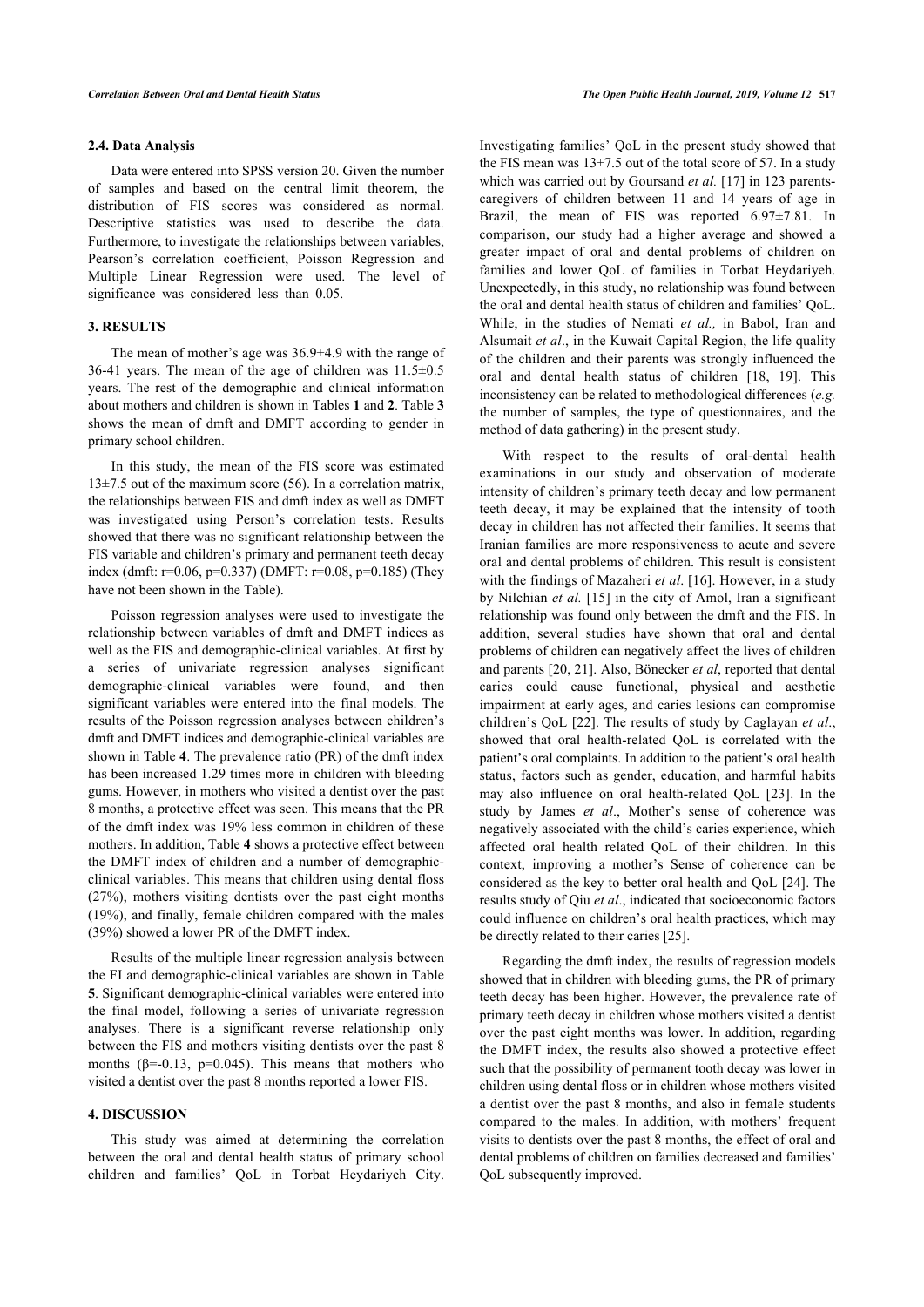### **2.4. Data Analysis**

Data were entered into SPSS version 20. Given the number of samples and based on the central limit theorem, the distribution of FIS scores was considered as normal. Descriptive statistics was used to describe the data. Furthermore, to investigate the relationships between variables, Pearson's correlation coefficient, Poisson Regression and Multiple Linear Regression were used. The level of significance was considered less than 0.05.

### **3. RESULTS**

The mean of mother's age was 36.9±4.9 with the range of 36-41 years. The mean of the age of children was  $11.5\pm0.5$ years. The rest of the demographic and clinical information about mothers and children is shown in Tables **[1](#page-3-0)** and **[2](#page-3-1)**. Table **[3](#page-3-2)** shows the mean of dmft and DMFT according to gender in primary school children.

In this study, the mean of the FIS score was estimated  $13\pm7.5$  out of the maximum score (56). In a correlation matrix, the relationships between FIS and dmft index as well as DMFT was investigated using Person's correlation tests. Results showed that there was no significant relationship between the FIS variable and children's primary and permanent teeth decay index (dmft: r=0.06, p=0.337) (DMFT: r=0.08, p=0.185) (They have not been shown in the Table).

Poisson regression analyses were used to investigate the relationship between variables of dmft and DMFT indices as well as the FIS and demographic-clinical variables. At first by a series of univariate regression analyses significant demographic-clinical variables were found, and then significant variables were entered into the final models. The results of the Poisson regression analyses between children's dmft and DMFT indices and demographic-clinical variables are shown in Table **[4](#page-3-3)**. The prevalence ratio (PR) of the dmft index has been increased 1.29 times more in children with bleeding gums. However, in mothers who visited a dentist over the past 8 months, a protective effect was seen. This means that the PR of the dmft index was 19% less common in children of these mothers. In addition, Table **[4](#page-3-3)** shows a protective effect between the DMFT index of children and a number of demographicclinical variables. This means that children using dental floss (27%), mothers visiting dentists over the past eight months (19%), and finally, female children compared with the males (39%) showed a lower PR of the DMFT index.

Results of the multiple linear regression analysis between the FI and demographic-clinical variables are shown in Table **[5](#page-4-4)**. Significant demographic-clinical variables were entered into the final model, following a series of univariate regression analyses. There is a significant reverse relationship only between the FIS and mothers visiting dentists over the past 8 months ( $\beta$ =-0.13, p=0.045). This means that mothers who visited a dentist over the past 8 months reported a lower FIS.

### **4. DISCUSSION**

This study was aimed at determining the correlation between the oral and dental health status of primary school children and families' QoL in Torbat Heydariyeh City.

Investigating families' QoL in the present study showed that the FIS mean was  $13\pm7.5$  out of the total score of 57. In a study which was carried out by Goursand *et al.* [[17](#page-5-12)] in 123 parentscaregivers of children between 11 and 14 years of age in Brazil, the mean of FIS was reported 6.97±7.81. In comparison, our study had a higher average and showed a greater impact of oral and dental problems of children on families and lower QoL of families in Torbat Heydariyeh. Unexpectedly, in this study, no relationship was found between the oral and dental health status of children and families' QoL. While, in the studies of Nemati *et al.,* in Babol, Iran and Alsumait *et al*., in the Kuwait Capital Region, the life quality of the children and their parents was strongly influenced the oral and dental health status of children[[18,](#page-5-13) [19](#page-5-14)]. This inconsistency can be related to methodological differences (*e.g.* the number of samples, the type of questionnaires, and the method of data gathering) in the present study.

With respect to the results of oral-dental health examinations in our study and observation of moderate intensity of children's primary teeth decay and low permanent teeth decay, it may be explained that the intensity of tooth decay in children has not affected their families. It seems that Iranian families are more responsiveness to acute and severe oral and dental problems of children. This result is consistent with the findings of Mazaheri *et al*. [[16\]](#page-5-11). However, in a study by Nilchian *et al.* [\[15](#page-5-10)] in the city of Amol, Iran a significant relationship was found only between the dmft and the FIS. In addition, several studies have shown that oral and dental problems of children can negatively affect the lives of children and parents [\[20,](#page-5-15) [21](#page-5-16)]. Also, Bönecker *et al*, reported that dental caries could cause functional, physical and aesthetic impairment at early ages, and caries lesions can compromise children's QoL [[22\]](#page-5-6). The results of study by Caglayan *et al*., showed that oral health-related QoL is correlated with the patient's oral complaints. In addition to the patient's oral health status, factors such as gender, education, and harmful habits may also influence on oral health-related QoL[[23](#page-5-7)]. In the study by James *et al*., Mother's sense of coherence was negatively associated with the child's caries experience, which affected oral health related QoL of their children. In this context, improving a mother's Sense of coherence can be considered as the key to better oral health and QoL [[24](#page-5-17)]. The results study of Qiu *et al*., indicated that socioeconomic factors could influence on children's oral health practices, which may be directly related to their caries [\[25](#page-5-18)].

Regarding the dmft index, the results of regression models showed that in children with bleeding gums, the PR of primary teeth decay has been higher. However, the prevalence rate of primary teeth decay in children whose mothers visited a dentist over the past eight months was lower. In addition, regarding the DMFT index, the results also showed a protective effect such that the possibility of permanent tooth decay was lower in children using dental floss or in children whose mothers visited a dentist over the past 8 months, and also in female students compared to the males. In addition, with mothers' frequent visits to dentists over the past 8 months, the effect of oral and dental problems of children on families decreased and families' QoL subsequently improved.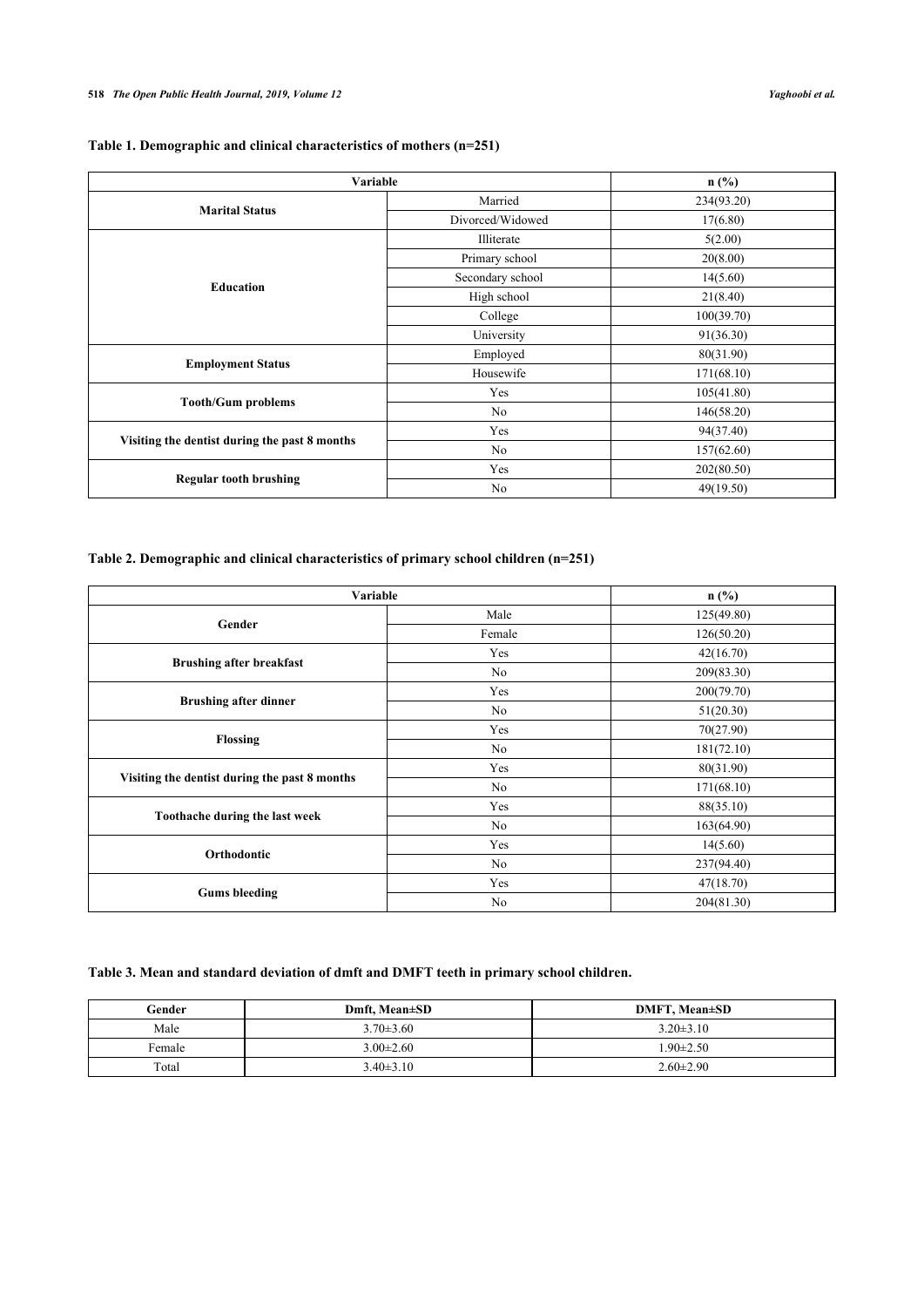<span id="page-3-0"></span>

| Table 1. Demographic and clinical characteristics of mothers (n=251) |  |  |
|----------------------------------------------------------------------|--|--|
|                                                                      |  |  |

| Variable                                      |                  | n(%)       |
|-----------------------------------------------|------------------|------------|
| <b>Marital Status</b>                         | Married          | 234(93.20) |
|                                               | Divorced/Widowed | 17(6.80)   |
|                                               | Illiterate       | 5(2.00)    |
|                                               | Primary school   | 20(8.00)   |
|                                               | Secondary school | 14(5.60)   |
| <b>Education</b>                              | High school      | 21(8.40)   |
|                                               | College          | 100(39.70) |
|                                               | University       | 91(36.30)  |
|                                               | Employed         | 80(31.90)  |
| <b>Employment Status</b>                      | Housewife        | 171(68.10) |
|                                               | Yes              | 105(41.80) |
| <b>Tooth/Gum problems</b>                     | No               | 146(58.20) |
|                                               | Yes              | 94(37.40)  |
| Visiting the dentist during the past 8 months | No               | 157(62.60) |
| <b>Regular tooth brushing</b>                 | Yes              | 202(80.50) |
|                                               | No               | 49(19.50)  |

## <span id="page-3-1"></span>**Table 2. Demographic and clinical characteristics of primary school children (n=251)**

| Variable                                      |                | $n$ (%)    |
|-----------------------------------------------|----------------|------------|
| Gender                                        | Male           | 125(49.80) |
|                                               | Female         | 126(50.20) |
|                                               | Yes            | 42(16.70)  |
| <b>Brushing after breakfast</b>               | No             | 209(83.30) |
|                                               | Yes            | 200(79.70) |
| <b>Brushing after dinner</b>                  | No             | 51(20.30)  |
|                                               | Yes            | 70(27.90)  |
| Flossing                                      | No             | 181(72.10) |
|                                               | Yes            | 80(31.90)  |
| Visiting the dentist during the past 8 months | No             | 171(68.10) |
|                                               | Yes            | 88(35.10)  |
| Toothache during the last week                | No             | 163(64.90) |
|                                               | Yes            | 14(5.60)   |
| Orthodontic                                   | No             | 237(94.40) |
| <b>Gums</b> bleeding                          | Yes            | 47(18.70)  |
|                                               | N <sub>0</sub> | 204(81.30) |

## <span id="page-3-2"></span>**Table 3. Mean and standard deviation of dmft and DMFT teeth in primary school children.**

<span id="page-3-3"></span>

| Gender | Dmft. Mean±SD   | <b>DMFT, Mean±SD</b> |
|--------|-----------------|----------------------|
| Male   | $3.70 \pm 3.60$ | $3.20 \pm 3.10$      |
| Female | $3.00\pm2.60$   | $1.90 \pm 2.50$      |
| Total  | $3.40\pm3.10$   | $2.60 \pm 2.90$      |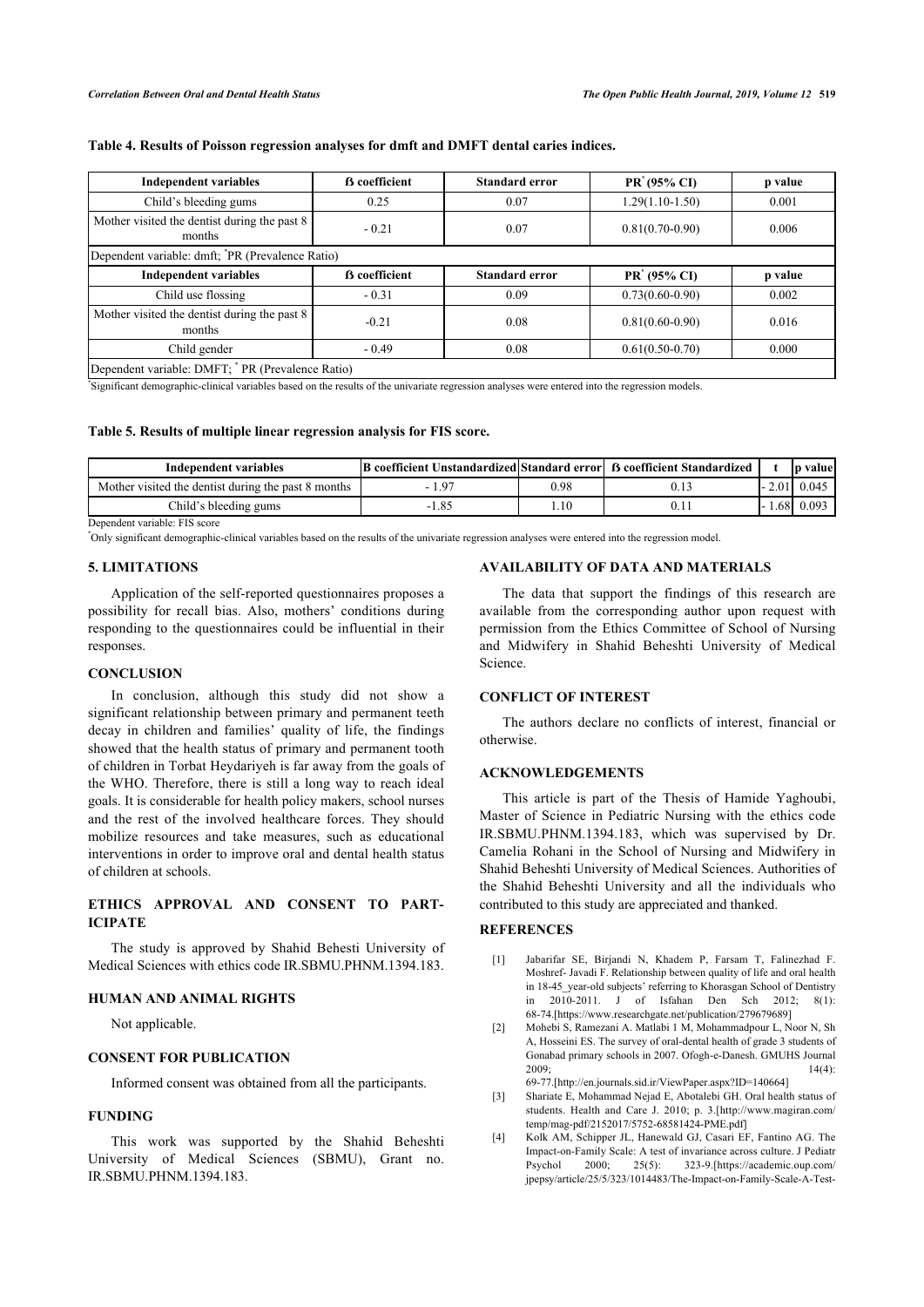### **Table 4. Results of Poisson regression analyses for dmft and DMFT dental caries indices.**

| <b>Independent variables</b>                                 | <b>B</b> coefficient | <b>Standard error</b> | PR <sup>*</sup> (95% CI) | p value |  |
|--------------------------------------------------------------|----------------------|-----------------------|--------------------------|---------|--|
| Child's bleeding gums                                        | 0.25                 | 0.07                  | $1.29(1.10-1.50)$        | 0.001   |  |
| Mother visited the dentist during the past 8<br>months       | $-0.21$              | 0.07                  | $0.81(0.70-0.90)$        | 0.006   |  |
| Dependent variable: dmft; <sup>*</sup> PR (Prevalence Ratio) |                      |                       |                          |         |  |
| <b>Independent variables</b>                                 | <b>B</b> coefficient | <b>Standard error</b> | PR <sup>*</sup> (95% CI) | p value |  |
| Child use flossing                                           | $-0.31$              | 0.09                  | $0.73(0.60 - 0.90)$      | 0.002   |  |
| Mother visited the dentist during the past 8<br>months       | $-0.21$              | 0.08                  | $0.81(0.60-0.90)$        | 0.016   |  |
| Child gender                                                 | $-0.49$              | 0.08                  | $0.61(0.50-0.70)$        | 0.000   |  |
| Dependent variable: DMFT; <sup>*</sup> PR (Prevalence Ratio) |                      |                       |                          |         |  |

\* Significant demographic-clinical variables based on the results of the univariate regression analyses were entered into the regression models.

### <span id="page-4-4"></span>**Table 5. Results of multiple linear regression analysis for FIS score.**

| Independent variables                               | [B] coefficient Unstandardized Standard error B] 6 coefficient Standardized |      |      | valuel<br>In  |
|-----------------------------------------------------|-----------------------------------------------------------------------------|------|------|---------------|
| Mother visited the dentist during the past 8 months |                                                                             | 0.98 |      | $-2.01$ 0.045 |
| Child's bleeding gums                               | $\Omega$<br>- 1                                                             |      | .681 | 0.093         |

Dependent variable: FIS score

\*Only significant demographic-clinical variables based on the results of the univariate regression analyses were entered into the regression model.

### **5. LIMITATIONS**

Application of the self-reported questionnaires proposes a possibility for recall bias. Also, mothers' conditions during responding to the questionnaires could be influential in their responses.

### **CONCLUSION**

In conclusion, although this study did not show a significant relationship between primary and permanent teeth decay in children and families' quality of life, the findings showed that the health status of primary and permanent tooth of children in Torbat Heydariyeh is far away from the goals of the WHO. Therefore, there is still a long way to reach ideal goals. It is considerable for health policy makers, school nurses and the rest of the involved healthcare forces. They should mobilize resources and take measures, such as educational interventions in order to improve oral and dental health status of children at schools.

### **ETHICS APPROVAL AND CONSENT TO PART-ICIPATE**

<span id="page-4-0"></span>The study is approved by Shahid Behesti University of Medical Sciences with ethics code IR.SBMU.PHNM.1394.183.

### **HUMAN AND ANIMAL RIGHTS**

Not applicable.

### <span id="page-4-1"></span>**CONSENT FOR PUBLICATION**

Informed consent was obtained from all the participants.

### <span id="page-4-2"></span>**FUNDING**

<span id="page-4-3"></span>This work was supported by the Shahid Beheshti University of Medical Sciences (SBMU), Grant no. IR.SBMU.PHNM.1394.183.

### **AVAILABILITY OF DATA AND MATERIALS**

The data that support the findings of this research are available from the corresponding author upon request with permission from the Ethics Committee of School of Nursing and Midwifery in Shahid Beheshti University of Medical Science.

### **CONFLICT OF INTEREST**

The authors declare no conflicts of interest, financial or otherwise.

### **ACKNOWLEDGEMENTS**

This article is part of the Thesis of Hamide Yaghoubi, Master of Science in Pediatric Nursing with the ethics code IR.SBMU.PHNM.1394.183, which was supervised by Dr. Camelia Rohani in the School of Nursing and Midwifery in Shahid Beheshti University of Medical Sciences. Authorities of the Shahid Beheshti University and all the individuals who contributed to this study are appreciated and thanked.

### **REFERENCES**

- [1] Jabarifar SE, Birjandi N, Khadem P, Farsam T, Falinezhad F. Moshref- Javadi F. Relationship between quality of life and oral health in 18-45\_year-old subjects' referring to Khorasgan School of Dentistry in 2010-2011. J of Isfahan Den Sch 2012; 8(1): 68-74[.\[https://www.researchgate.net/publication/279679689\]](https://www.researchgate.net/publication/279679689)
- [2] Mohebi S, Ramezani A. Matlabi 1 M, Mohammadpour L, Noor N, Sh A, Hosseini ES. The survey of oral-dental health of grade 3 students of Gonabad primary schools in 2007. Ofogh-e-Danesh. GMUHS Journal  $2009;$   $14(4):$ 69-77[.\[http://en.journals.sid.ir/ViewPaper.aspx?ID=140664\]](http://en.journals.sid.ir/%20%20%20%20%20%20%20%20%20%20%20ViewPaper.aspx?ID=140664)
- [3] Shariate E, Mohammad Nejad E, Abotalebi GH. Oral health status of students. Health and Care J. 2010; p. 3.[\[http://www.magiran.com/](http://www.magiran.com/%20%20%20%20%20%20%20%20%20%20%20%20%20temp/mag-pdf/2152017/5752-68581424-PME.pdf) [temp/mag-pdf/2152017/5752-68581424-PME.pdf\]](http://www.magiran.com/%20%20%20%20%20%20%20%20%20%20%20%20%20temp/mag-pdf/2152017/5752-68581424-PME.pdf)
- [4] Kolk AM, Schipper JL, Hanewald GJ, Casari EF, Fantino AG. The Impact-on-Family Scale: A test of invariance across culture. J Pediatr Psychol 2000; 25(5): 323-9.[\[https://academic.oup.com/](https://academic.oup.com/%20%20%20%20%20%20%20%20%20%20%20%20%20%20%20%20%20%20%20%20%20%20%20%20%20%20jpepsy/article/25/5/323/1014483/The-Impact-on-Family-Scale-A-Test-of-Invariance) [jpepsy/article/25/5/323/1014483/The-Impact-on-Family-Scale-A-Test-](https://academic.oup.com/%20%20%20%20%20%20%20%20%20%20%20%20%20%20%20%20%20%20%20%20%20%20%20%20%20%20jpepsy/article/25/5/323/1014483/The-Impact-on-Family-Scale-A-Test-of-Invariance)